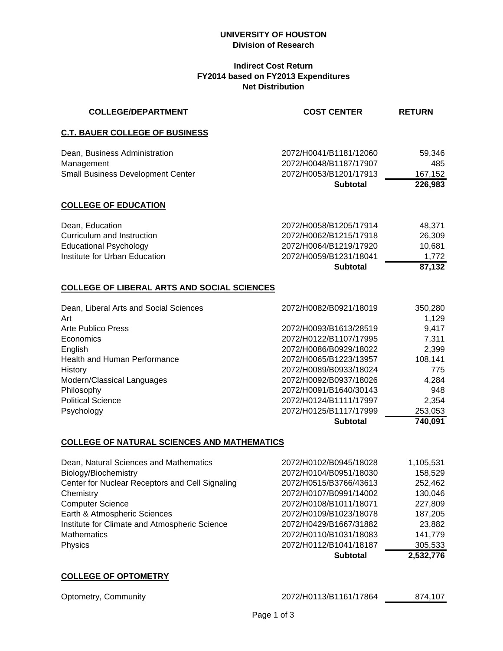#### **UNIVERSITY OF HOUSTON Division of Research**

### **Indirect Cost Return FY2014 based on FY2013 Expenditures Net Distribution**

| <b>COLLEGE/DEPARTMENT</b>                                                                                       | <b>COST CENTER</b>                                                                                                      | <b>RETURN</b>                                 |
|-----------------------------------------------------------------------------------------------------------------|-------------------------------------------------------------------------------------------------------------------------|-----------------------------------------------|
| <b>C.T. BAUER COLLEGE OF BUSINESS</b>                                                                           |                                                                                                                         |                                               |
| Dean, Business Administration<br>Management<br><b>Small Business Development Center</b>                         | 2072/H0041/B1181/12060<br>2072/H0048/B1187/17907<br>2072/H0053/B1201/17913<br><b>Subtotal</b>                           | 59,346<br>485<br>167,152<br>226,983           |
| <b>COLLEGE OF EDUCATION</b>                                                                                     |                                                                                                                         |                                               |
| Dean, Education<br>Curriculum and Instruction<br><b>Educational Psychology</b><br>Institute for Urban Education | 2072/H0058/B1205/17914<br>2072/H0062/B1215/17918<br>2072/H0064/B1219/17920<br>2072/H0059/B1231/18041<br><b>Subtotal</b> | 48,371<br>26,309<br>10,681<br>1,772<br>87,132 |

# **COLLEGE OF LIBERAL ARTS AND SOCIAL SCIENCES**

| Dean, Liberal Arts and Social Sciences | 2072/H0082/B0921/18019 | 350,280 |
|----------------------------------------|------------------------|---------|
| Art                                    |                        | 1,129   |
| Arte Publico Press                     | 2072/H0093/B1613/28519 | 9.417   |
| Economics                              | 2072/H0122/B1107/17995 | 7,311   |
| English                                | 2072/H0086/B0929/18022 | 2,399   |
| Health and Human Performance           | 2072/H0065/B1223/13957 | 108,141 |
| History                                | 2072/H0089/B0933/18024 | 775     |
| Modern/Classical Languages             | 2072/H0092/B0937/18026 | 4,284   |
| Philosophy                             | 2072/H0091/B1640/30143 | 948     |
| <b>Political Science</b>               | 2072/H0124/B1111/17997 | 2,354   |
| Psychology                             | 2072/H0125/B1117/17999 | 253,053 |
|                                        | <b>Subtotal</b>        | 740,091 |

#### **COLLEGE OF NATURAL SCIENCES AND MATHEMATICS**

|                                                 | <b>Subtotal</b>        | 2,532,776 |
|-------------------------------------------------|------------------------|-----------|
| Physics                                         | 2072/H0112/B1041/18187 | 305,533   |
| <b>Mathematics</b>                              | 2072/H0110/B1031/18083 | 141,779   |
| Institute for Climate and Atmospheric Science   | 2072/H0429/B1667/31882 | 23,882    |
| Earth & Atmospheric Sciences                    | 2072/H0109/B1023/18078 | 187,205   |
| <b>Computer Science</b>                         | 2072/H0108/B1011/18071 | 227,809   |
| Chemistry                                       | 2072/H0107/B0991/14002 | 130,046   |
| Center for Nuclear Receptors and Cell Signaling | 2072/H0515/B3766/43613 | 252,462   |
| Biology/Biochemistry                            | 2072/H0104/B0951/18030 | 158,529   |
| Dean, Natural Sciences and Mathematics          | 2072/H0102/B0945/18028 | 1,105,531 |

## **COLLEGE OF OPTOMETRY**

Optometry, Community 2072/H0113/B1161/17864 874,107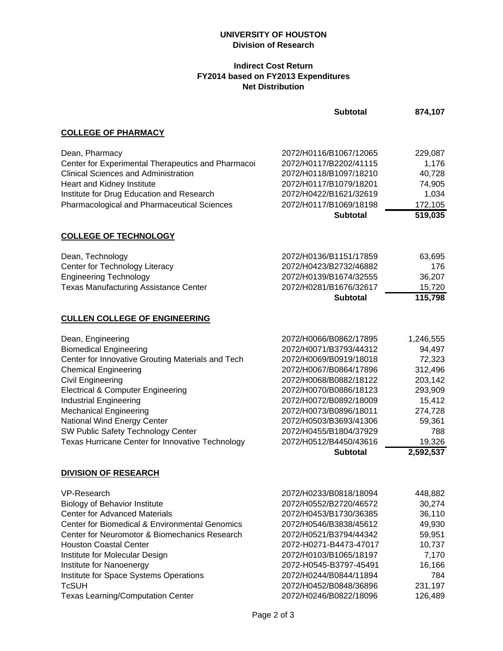## **UNIVERSITY OF HOUSTON Division of Research**

## **Indirect Cost Return FY2014 based on FY2013 Expenditures Net Distribution**

|                                                                                                                                                                                                                                                                                                                                                                                                                       | <b>Subtotal</b>                                                                                                                                                                                                                                                                                               | 874,107                                                                                                                     |
|-----------------------------------------------------------------------------------------------------------------------------------------------------------------------------------------------------------------------------------------------------------------------------------------------------------------------------------------------------------------------------------------------------------------------|---------------------------------------------------------------------------------------------------------------------------------------------------------------------------------------------------------------------------------------------------------------------------------------------------------------|-----------------------------------------------------------------------------------------------------------------------------|
| <b>COLLEGE OF PHARMACY</b>                                                                                                                                                                                                                                                                                                                                                                                            |                                                                                                                                                                                                                                                                                                               |                                                                                                                             |
| Dean, Pharmacy<br>Center for Experimental Therapeutics and Pharmacoi<br><b>Clinical Sciences and Administration</b><br><b>Heart and Kidney Institute</b><br>Institute for Drug Education and Research<br>Pharmacological and Pharmaceutical Sciences                                                                                                                                                                  | 2072/H0116/B1067/12065<br>2072/H0117/B2202/41115<br>2072/H0118/B1097/18210<br>2072/H0117/B1079/18201<br>2072/H0422/B1621/32619<br>2072/H0117/B1069/18198                                                                                                                                                      | 229,087<br>1,176<br>40,728<br>74,905<br>1,034<br>172,105                                                                    |
|                                                                                                                                                                                                                                                                                                                                                                                                                       | <b>Subtotal</b>                                                                                                                                                                                                                                                                                               | 519,035                                                                                                                     |
| <b>COLLEGE OF TECHNOLOGY</b>                                                                                                                                                                                                                                                                                                                                                                                          |                                                                                                                                                                                                                                                                                                               |                                                                                                                             |
| Dean, Technology<br>Center for Technology Literacy<br><b>Engineering Technology</b><br><b>Texas Manufacturing Assistance Center</b>                                                                                                                                                                                                                                                                                   | 2072/H0136/B1151/17859<br>2072/H0423/B2732/46882<br>2072/H0139/B1674/32555<br>2072/H0281/B1676/32617<br><b>Subtotal</b>                                                                                                                                                                                       | 63,695<br>176<br>36,207<br>15,720<br>115,798                                                                                |
| <b>CULLEN COLLEGE OF ENGINEERING</b>                                                                                                                                                                                                                                                                                                                                                                                  |                                                                                                                                                                                                                                                                                                               |                                                                                                                             |
| Dean, Engineering<br><b>Biomedical Engineering</b><br>Center for Innovative Grouting Materials and Tech<br><b>Chemical Engineering</b><br>Civil Engineering<br><b>Electrical &amp; Computer Engineering</b><br><b>Industrial Engineering</b><br><b>Mechanical Engineering</b><br>National Wind Energy Center<br>SW Public Safety Technology Center<br>Texas Hurricane Center for Innovative Technology                | 2072/H0066/B0862/17895<br>2072/H0071/B3793/44312<br>2072/H0069/B0919/18018<br>2072/H0067/B0864/17896<br>2072/H0068/B0882/18122<br>2072/H0070/B0886/18123<br>2072/H0072/B0892/18009<br>2072/H0073/B0896/18011<br>2072/H0503/B3693/41306<br>2072/H0455/B1804/37929<br>2072/H0512/B4450/43616<br><b>Subtotal</b> | 1,246,555<br>94,497<br>72,323<br>312,496<br>203,142<br>293,909<br>15,412<br>274,728<br>59,361<br>788<br>19,326<br>2,592,537 |
| <b>DIVISION OF RESEARCH</b>                                                                                                                                                                                                                                                                                                                                                                                           |                                                                                                                                                                                                                                                                                                               |                                                                                                                             |
| <b>VP-Research</b><br><b>Biology of Behavior Institute</b><br><b>Center for Advanced Materials</b><br><b>Center for Biomedical &amp; Environmental Genomics</b><br>Center for Neuromotor & Biomechanics Research<br><b>Houston Coastal Center</b><br>Institute for Molecular Design<br>Institute for Nanoenergy<br>Institute for Space Systems Operations<br><b>TcSUH</b><br><b>Texas Learning/Computation Center</b> | 2072/H0233/B0818/18094<br>2072/H0552/B2720/46572<br>2072/H0453/B1730/36385<br>2072/H0546/B3838/45612<br>2072/H0521/B3794/44342<br>2072-H0271-B4473-47017<br>2072/H0103/B1065/18197<br>2072-H0545-B3797-45491<br>2072/H0244/B0844/11894<br>2072/H0452/B0848/36896<br>2072/H0246/B0822/18096                    | 448,882<br>30,274<br>36,110<br>49,930<br>59,951<br>10,737<br>7,170<br>16,166<br>784<br>231,197<br>126,489                   |